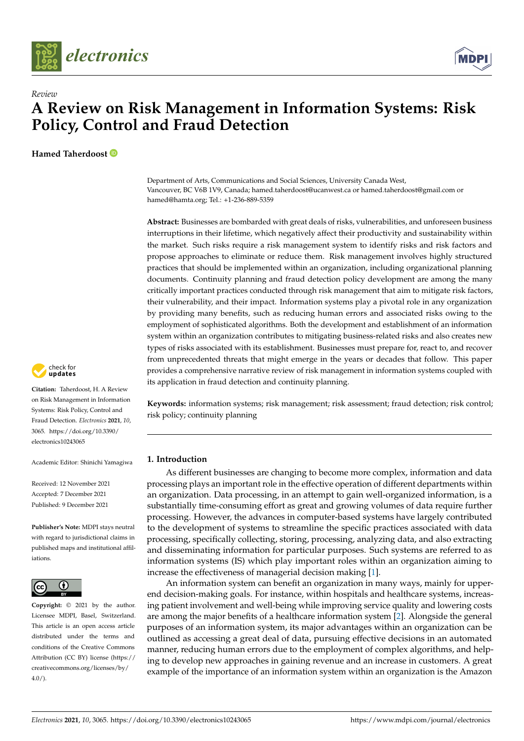



**Hamed Taherdoost**



**Abstract:** Businesses are bombarded with great deals of risks, vulnerabilities, and unforeseen business interruptions in their lifetime, which negatively affect their productivity and sustainability within the market. Such risks require a risk management system to identify risks and risk factors and propose approaches to eliminate or reduce them. Risk management involves highly structured practices that should be implemented within an organization, including organizational planning documents. Continuity planning and fraud detection policy development are among the many critically important practices conducted through risk management that aim to mitigate risk factors, their vulnerability, and their impact. Information systems play a pivotal role in any organization by providing many benefits, such as reducing human errors and associated risks owing to the employment of sophisticated algorithms. Both the development and establishment of an information system within an organization contributes to mitigating business-related risks and also creates new types of risks associated with its establishment. Businesses must prepare for, react to, and recover from unprecedented threats that might emerge in the years or decades that follow. This paper provides a comprehensive narrative review of risk management in information systems coupled with its application in fraud detection and continuity planning.

**Keywords:** information systems; risk management; risk assessment; fraud detection; risk control; risk policy; continuity planning

## **1. Introduction**

As different businesses are changing to become more complex, information and data processing plays an important role in the effective operation of different departments within an organization. Data processing, in an attempt to gain well-organized information, is a substantially time-consuming effort as great and growing volumes of data require further processing. However, the advances in computer-based systems have largely contributed to the development of systems to streamline the specific practices associated with data processing, specifically collecting, storing, processing, analyzing data, and also extracting and disseminating information for particular purposes. Such systems are referred to as information systems (IS) which play important roles within an organization aiming to increase the effectiveness of managerial decision making [\[1\]](#page-20-0).

An information system can benefit an organization in many ways, mainly for upperend decision-making goals. For instance, within hospitals and healthcare systems, increasing patient involvement and well-being while improving service quality and lowering costs are among the major benefits of a healthcare information system [\[2\]](#page-20-1). Alongside the general purposes of an information system, its major advantages within an organization can be outlined as accessing a great deal of data, pursuing effective decisions in an automated manner, reducing human errors due to the employment of complex algorithms, and helping to develop new approaches in gaining revenue and an increase in customers. A great example of the importance of an information system within an organization is the Amazon



**Citation:** Taherdoost, H. A Review on Risk Management in Information Systems: Risk Policy, Control and Fraud Detection. *Electronics* **2021**, *10*, 3065. [https://doi.org/10.3390/](https://doi.org/10.3390/electronics10243065) [electronics10243065](https://doi.org/10.3390/electronics10243065)

Academic Editor: Shinichi Yamagiwa

Received: 12 November 2021 Accepted: 7 December 2021 Published: 9 December 2021

**Publisher's Note:** MDPI stays neutral with regard to jurisdictional claims in published maps and institutional affiliations.



**Copyright:** © 2021 by the author. Licensee MDPI, Basel, Switzerland. This article is an open access article distributed under the terms and conditions of the Creative Commons Attribution (CC BY) license (https:/[/](https://creativecommons.org/licenses/by/4.0/) [creativecommons.org/licenses/by/](https://creativecommons.org/licenses/by/4.0/)  $4.0/$ ).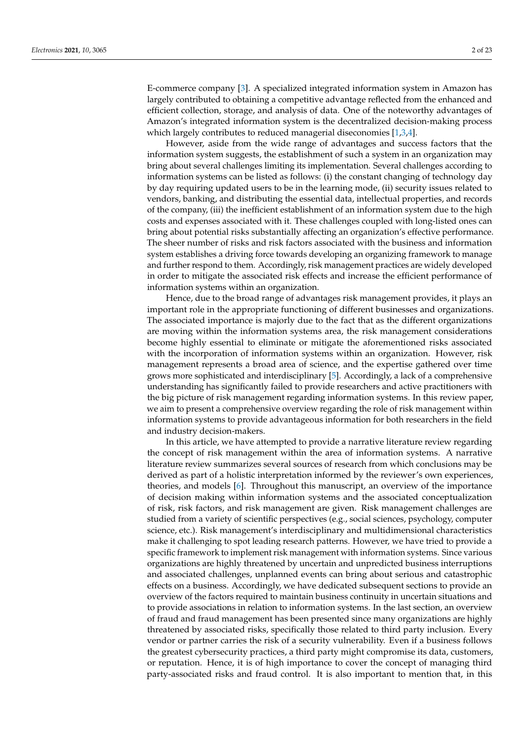E-commerce company [\[3\]](#page-20-2). A specialized integrated information system in Amazon has largely contributed to obtaining a competitive advantage reflected from the enhanced and efficient collection, storage, and analysis of data. One of the noteworthy advantages of Amazon's integrated information system is the decentralized decision-making process which largely contributes to reduced managerial diseconomies [\[1,](#page-20-0)[3,](#page-20-2)[4\]](#page-20-3).

However, aside from the wide range of advantages and success factors that the information system suggests, the establishment of such a system in an organization may bring about several challenges limiting its implementation. Several challenges according to information systems can be listed as follows: (i) the constant changing of technology day by day requiring updated users to be in the learning mode, (ii) security issues related to vendors, banking, and distributing the essential data, intellectual properties, and records of the company, (iii) the inefficient establishment of an information system due to the high costs and expenses associated with it. These challenges coupled with long-listed ones can bring about potential risks substantially affecting an organization's effective performance. The sheer number of risks and risk factors associated with the business and information system establishes a driving force towards developing an organizing framework to manage and further respond to them. Accordingly, risk management practices are widely developed in order to mitigate the associated risk effects and increase the efficient performance of information systems within an organization.

Hence, due to the broad range of advantages risk management provides, it plays an important role in the appropriate functioning of different businesses and organizations. The associated importance is majorly due to the fact that as the different organizations are moving within the information systems area, the risk management considerations become highly essential to eliminate or mitigate the aforementioned risks associated with the incorporation of information systems within an organization. However, risk management represents a broad area of science, and the expertise gathered over time grows more sophisticated and interdisciplinary [\[5\]](#page-20-4). Accordingly, a lack of a comprehensive understanding has significantly failed to provide researchers and active practitioners with the big picture of risk management regarding information systems. In this review paper, we aim to present a comprehensive overview regarding the role of risk management within information systems to provide advantageous information for both researchers in the field and industry decision-makers.

In this article, we have attempted to provide a narrative literature review regarding the concept of risk management within the area of information systems. A narrative literature review summarizes several sources of research from which conclusions may be derived as part of a holistic interpretation informed by the reviewer's own experiences, theories, and models [\[6\]](#page-20-5). Throughout this manuscript, an overview of the importance of decision making within information systems and the associated conceptualization of risk, risk factors, and risk management are given. Risk management challenges are studied from a variety of scientific perspectives (e.g., social sciences, psychology, computer science, etc.). Risk management's interdisciplinary and multidimensional characteristics make it challenging to spot leading research patterns. However, we have tried to provide a specific framework to implement risk management with information systems. Since various organizations are highly threatened by uncertain and unpredicted business interruptions and associated challenges, unplanned events can bring about serious and catastrophic effects on a business. Accordingly, we have dedicated subsequent sections to provide an overview of the factors required to maintain business continuity in uncertain situations and to provide associations in relation to information systems. In the last section, an overview of fraud and fraud management has been presented since many organizations are highly threatened by associated risks, specifically those related to third party inclusion. Every vendor or partner carries the risk of a security vulnerability. Even if a business follows the greatest cybersecurity practices, a third party might compromise its data, customers, or reputation. Hence, it is of high importance to cover the concept of managing third party-associated risks and fraud control. It is also important to mention that, in this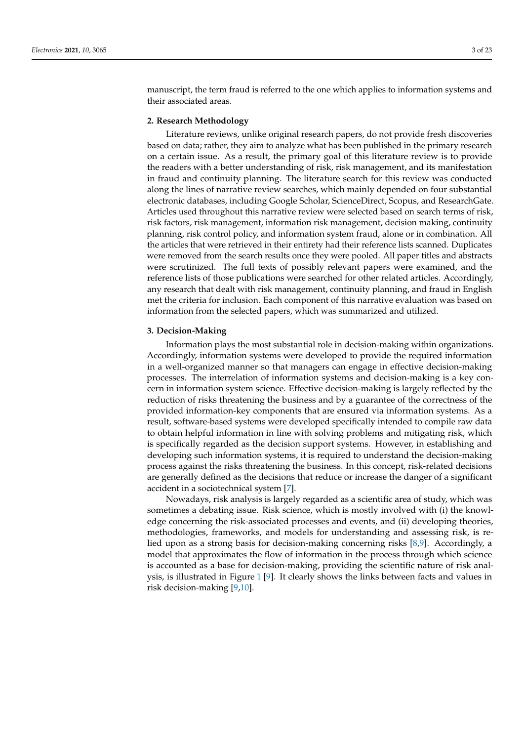manuscript, the term fraud is referred to the one which applies to information systems and their associated areas.

## **2. Research Methodology**

Literature reviews, unlike original research papers, do not provide fresh discoveries based on data; rather, they aim to analyze what has been published in the primary research on a certain issue. As a result, the primary goal of this literature review is to provide the readers with a better understanding of risk, risk management, and its manifestation in fraud and continuity planning. The literature search for this review was conducted along the lines of narrative review searches, which mainly depended on four substantial electronic databases, including Google Scholar, ScienceDirect, Scopus, and ResearchGate. Articles used throughout this narrative review were selected based on search terms of risk, risk factors, risk management, information risk management, decision making, continuity planning, risk control policy, and information system fraud, alone or in combination. All the articles that were retrieved in their entirety had their reference lists scanned. Duplicates were removed from the search results once they were pooled. All paper titles and abstracts were scrutinized. The full texts of possibly relevant papers were examined, and the reference lists of those publications were searched for other related articles. Accordingly, any research that dealt with risk management, continuity planning, and fraud in English met the criteria for inclusion. Each component of this narrative evaluation was based on information from the selected papers, which was summarized and utilized.

## **3. Decision-Making**

Information plays the most substantial role in decision-making within organizations. Accordingly, information systems were developed to provide the required information in a well-organized manner so that managers can engage in effective decision-making processes. The interrelation of information systems and decision-making is a key concern in information system science. Effective decision-making is largely reflected by the reduction of risks threatening the business and by a guarantee of the correctness of the provided information-key components that are ensured via information systems. As a result, software-based systems were developed specifically intended to compile raw data to obtain helpful information in line with solving problems and mitigating risk, which is specifically regarded as the decision support systems. However, in establishing and developing such information systems, it is required to understand the decision-making process against the risks threatening the business. In this concept, risk-related decisions are generally defined as the decisions that reduce or increase the danger of a significant accident in a sociotechnical system [\[7\]](#page-20-6).

Nowadays, risk analysis is largely regarded as a scientific area of study, which was sometimes a debating issue. Risk science, which is mostly involved with (i) the knowledge concerning the risk-associated processes and events, and (ii) developing theories, methodologies, frameworks, and models for understanding and assessing risk, is relied upon as a strong basis for decision-making concerning risks [\[8](#page-20-7)[,9\]](#page-20-8). Accordingly, a model that approximates the flow of information in the process through which science is accounted as a base for decision-making, providing the scientific nature of risk analysis, is illustrated in Figure [1](#page-3-0) [\[9\]](#page-20-8). It clearly shows the links between facts and values in risk decision-making [\[9,](#page-20-8)[10\]](#page-20-9).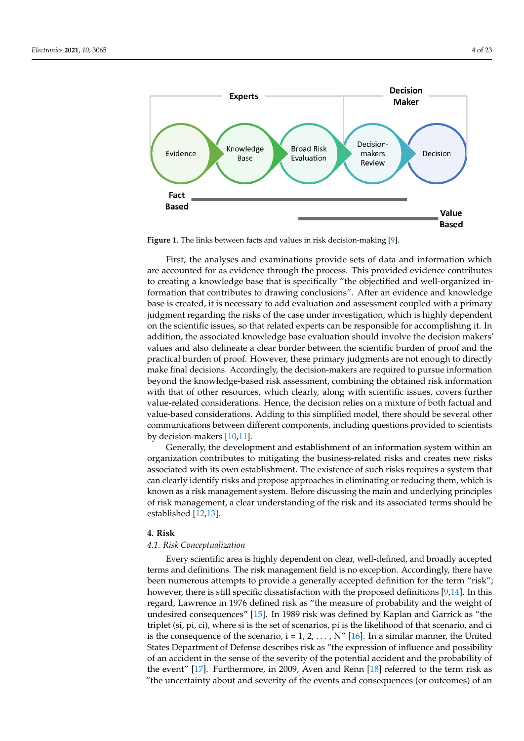<span id="page-3-0"></span>

**Figure 1.** The links between facts and values in risk decision-making [9]. **Figure 1.** The links between facts and values in risk decision-making [\[9\]](#page-20-8).

First, the analyses and examinations provide sets of data and information which are accounted for as evidence through the process. This provided evidence contributes to creating a knowledge base that is specifically "the objectified and well-organized information that contributes to drawing conclusions". After an evidence and knowledge base is created, it is necessary to add evaluation and assessment coupled with a primary in the set of the set of the set of the set of the set of the set of the set of the set of the set of the set of the set of the set o judgment regarding the risks of the case under investigation, which is highly dependent  $\frac{1}{2}$ on the scientific issues, so that related experts can be responsible for accomplishing it. In addition, it is the scientific issues, so that related experts can be responsible for accomplishing it. In addition, the associated knowledge base evaluation should involve the decision makers'<br>reduces and also delivered a class hard whatever the saintific harder of was found by values and also delineate a clear border between the scientific burden or proof and the practical burden of proof. However, these primary judgments are not enough to directly proceded builders of proof. However, these primary judgments are not enough to directly make final decisions. Accordingly, the decision-makers are required to pursue information hand that decisions. Accordingly, the decision-makers are required to pursue information beyond the knowledge-based risk assessment, combining the obtained risk information the knowledge-based risk assessment, combining the obtained risk information with that with that of other resources, which clearly, along with scientific issues, covers further of other resources, which clearly, along with scientific issues, covers further value-related value-related considerations. Hence, the decision relies on a mixture of both factual and value-based considerations. Adding to this simplified model, there should be several other value-based considerations. Adding to this simplified model, there should be several other  $\epsilon$  communications. Adding to this simplified model, the simplified model, there should be scientists of  $\epsilon$ communications between different components, including questions provided to scientists<br>by decision-makers [10,11] values and also delineate a clear border between the scientific burden of proof and the by decision-makers [\[10,](#page-20-9)[11\]](#page-20-10).

Generally, the development and establishment of an information system within an organization contributes to mitigating the business-related risks and creates new risks organization contributes associated with its own establishment. The existence of such risks requires a system that can clearly identify risks and propose approaches in eliminating or reducing them, which is known as a risk management system. Before discussing the main and underlying principles of risk management, a clear understanding of the risk and its associated terms should be established [\[12](#page-20-11)[,13\]](#page-20-12).

#### **4. Risk**

# **4. Risk**  *4.1. Risk Conceptualization*

Every scientific area is highly dependent on clear, well-defined, and broadly accepted terms and definitions. The risk management field is no exception. Accordingly, there have been numerous attempts to provide a generally accepted definition for the term "risk"; however, there is still specific dissatisfaction with the proposed definitions [\[9,](#page-20-8)[14\]](#page-20-13). In this regard, Lawrence in 1976 defined risk as "the measure of probability and the weight of undesired consequences" [\[15\]](#page-21-0). In 1989 risk was defined by Kaplan and Garrick as "the triplet (si, pi, ci), where si is the set of scenarios, pi is the likelihood of that scenario, and ci is the consequence of the scenario,  $i = 1, 2, ..., N''$  [\[16\]](#page-21-1). In a similar manner, the United States Department of Defense describes risk as "the expression of influence and possibility of an accident in the sense of the severity of the potential accident and the probability of the event" [\[17\]](#page-21-2). Furthermore, in 2009, Aven and Renn [\[18\]](#page-21-3) referred to the term risk as  $\frac{1}{10}$ "the uncertainty about and severity of the events and consequences (or outcomes) of an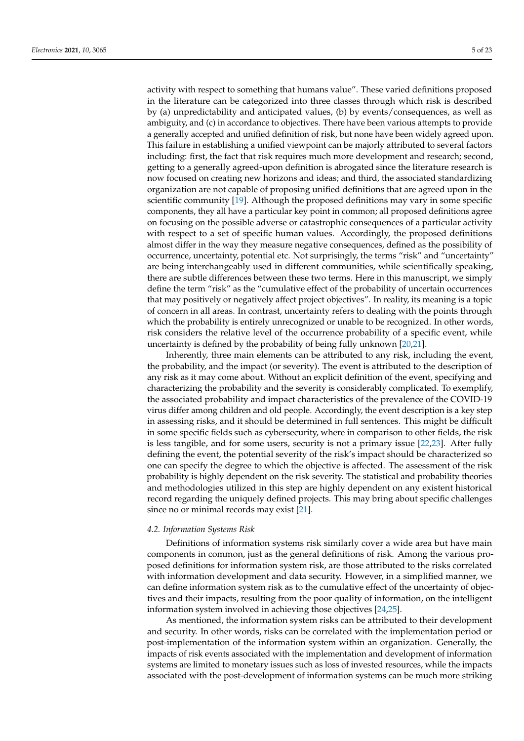activity with respect to something that humans value". These varied definitions proposed in the literature can be categorized into three classes through which risk is described by (a) unpredictability and anticipated values, (b) by events/consequences, as well as ambiguity, and (c) in accordance to objectives. There have been various attempts to provide a generally accepted and unified definition of risk, but none have been widely agreed upon. This failure in establishing a unified viewpoint can be majorly attributed to several factors including: first, the fact that risk requires much more development and research; second, getting to a generally agreed-upon definition is abrogated since the literature research is now focused on creating new horizons and ideas; and third, the associated standardizing organization are not capable of proposing unified definitions that are agreed upon in the scientific community [\[19\]](#page-21-4). Although the proposed definitions may vary in some specific components, they all have a particular key point in common; all proposed definitions agree on focusing on the possible adverse or catastrophic consequences of a particular activity with respect to a set of specific human values. Accordingly, the proposed definitions almost differ in the way they measure negative consequences, defined as the possibility of occurrence, uncertainty, potential etc. Not surprisingly, the terms "risk" and "uncertainty" are being interchangeably used in different communities, while scientifically speaking, there are subtle differences between these two terms. Here in this manuscript, we simply define the term "risk" as the "cumulative effect of the probability of uncertain occurrences that may positively or negatively affect project objectives". In reality, its meaning is a topic of concern in all areas. In contrast, uncertainty refers to dealing with the points through which the probability is entirely unrecognized or unable to be recognized. In other words, risk considers the relative level of the occurrence probability of a specific event, while uncertainty is defined by the probability of being fully unknown [\[20](#page-21-5)[,21\]](#page-21-6).

Inherently, three main elements can be attributed to any risk, including the event, the probability, and the impact (or severity). The event is attributed to the description of any risk as it may come about. Without an explicit definition of the event, specifying and characterizing the probability and the severity is considerably complicated. To exemplify, the associated probability and impact characteristics of the prevalence of the COVID-19 virus differ among children and old people. Accordingly, the event description is a key step in assessing risks, and it should be determined in full sentences. This might be difficult in some specific fields such as cybersecurity, where in comparison to other fields, the risk is less tangible, and for some users, security is not a primary issue [\[22,](#page-21-7)[23\]](#page-21-8). After fully defining the event, the potential severity of the risk's impact should be characterized so one can specify the degree to which the objective is affected. The assessment of the risk probability is highly dependent on the risk severity. The statistical and probability theories and methodologies utilized in this step are highly dependent on any existent historical record regarding the uniquely defined projects. This may bring about specific challenges since no or minimal records may exist [\[21\]](#page-21-6).

#### *4.2. Information Systems Risk*

Definitions of information systems risk similarly cover a wide area but have main components in common, just as the general definitions of risk. Among the various proposed definitions for information system risk, are those attributed to the risks correlated with information development and data security. However, in a simplified manner, we can define information system risk as to the cumulative effect of the uncertainty of objectives and their impacts, resulting from the poor quality of information, on the intelligent information system involved in achieving those objectives [\[24,](#page-21-9)[25\]](#page-21-10).

As mentioned, the information system risks can be attributed to their development and security. In other words, risks can be correlated with the implementation period or post-implementation of the information system within an organization. Generally, the impacts of risk events associated with the implementation and development of information systems are limited to monetary issues such as loss of invested resources, while the impacts associated with the post-development of information systems can be much more striking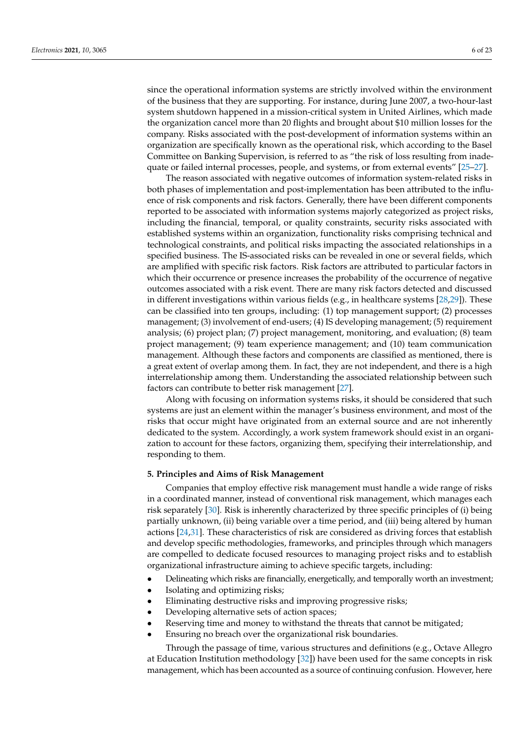since the operational information systems are strictly involved within the environment of the business that they are supporting. For instance, during June 2007, a two-hour-last system shutdown happened in a mission-critical system in United Airlines, which made the organization cancel more than 20 flights and brought about \$10 million losses for the company. Risks associated with the post-development of information systems within an organization are specifically known as the operational risk, which according to the Basel Committee on Banking Supervision, is referred to as "the risk of loss resulting from inadequate or failed internal processes, people, and systems, or from external events" [\[25](#page-21-10)[–27\]](#page-21-11).

The reason associated with negative outcomes of information system-related risks in both phases of implementation and post-implementation has been attributed to the influence of risk components and risk factors. Generally, there have been different components reported to be associated with information systems majorly categorized as project risks, including the financial, temporal, or quality constraints, security risks associated with established systems within an organization, functionality risks comprising technical and technological constraints, and political risks impacting the associated relationships in a specified business. The IS-associated risks can be revealed in one or several fields, which are amplified with specific risk factors. Risk factors are attributed to particular factors in which their occurrence or presence increases the probability of the occurrence of negative outcomes associated with a risk event. There are many risk factors detected and discussed in different investigations within various fields (e.g., in healthcare systems [\[28,](#page-21-12)[29\]](#page-21-13)). These can be classified into ten groups, including: (1) top management support; (2) processes management; (3) involvement of end-users; (4) IS developing management; (5) requirement analysis; (6) project plan; (7) project management, monitoring, and evaluation; (8) team project management; (9) team experience management; and (10) team communication management. Although these factors and components are classified as mentioned, there is a great extent of overlap among them. In fact, they are not independent, and there is a high interrelationship among them. Understanding the associated relationship between such factors can contribute to better risk management [\[27\]](#page-21-11).

Along with focusing on information systems risks, it should be considered that such systems are just an element within the manager's business environment, and most of the risks that occur might have originated from an external source and are not inherently dedicated to the system. Accordingly, a work system framework should exist in an organization to account for these factors, organizing them, specifying their interrelationship, and responding to them.

#### **5. Principles and Aims of Risk Management**

Companies that employ effective risk management must handle a wide range of risks in a coordinated manner, instead of conventional risk management, which manages each risk separately [\[30\]](#page-21-14). Risk is inherently characterized by three specific principles of (i) being partially unknown, (ii) being variable over a time period, and (iii) being altered by human actions [\[24,](#page-21-9)[31\]](#page-21-15). These characteristics of risk are considered as driving forces that establish and develop specific methodologies, frameworks, and principles through which managers are compelled to dedicate focused resources to managing project risks and to establish organizational infrastructure aiming to achieve specific targets, including:

- Delineating which risks are financially, energetically, and temporally worth an investment;
- Isolating and optimizing risks;
- Eliminating destructive risks and improving progressive risks;
- Developing alternative sets of action spaces;
- Reserving time and money to withstand the threats that cannot be mitigated;
- Ensuring no breach over the organizational risk boundaries.

Through the passage of time, various structures and definitions (e.g., Octave Allegro at Education Institution methodology [\[32\]](#page-21-16)) have been used for the same concepts in risk management, which has been accounted as a source of continuing confusion. However, here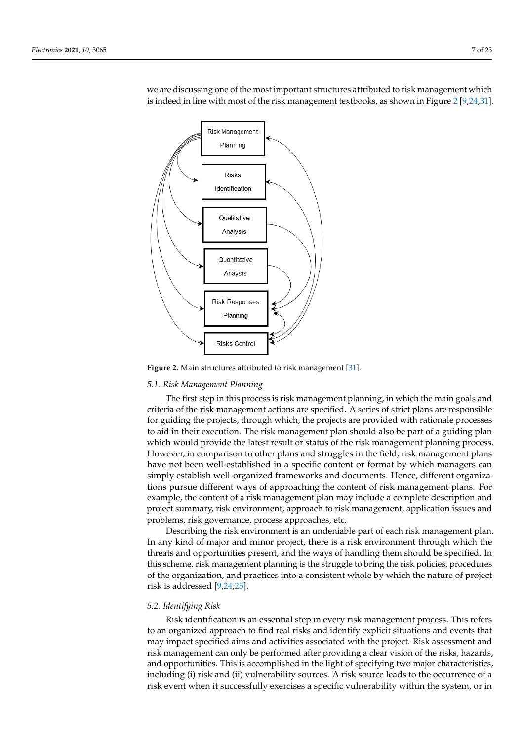<span id="page-6-0"></span>Risk Management Planning **Risks** Identification Qualitative Analysis Quantitative Anavsis **Risk Responses** Planning Risks Control

we are discussing one of the most important structures attributed to risk management which is indeed in line with most of the risk management textbooks, as shown in Figure [2](#page-6-0) [\[9,](#page-20-8)[24](#page-21-9)[,31\]](#page-21-15). Figure 2 [9,24,31].

**Figure 2.** Main structures attributed to risk management [31]. **Figure 2.** Main structures attributed to risk management [\[31\]](#page-21-15).

#### *5.1. Risk Management Planning*

*5.1. Risk Management Planning*  The first step in this process is risk management planning, in which the main goals and criteria of the risk management actions are specified. A series of strict plans are responsible for guiding the projects, through which, the projects are provided with rationale processes to aid in their execution. The risk management plan should also be part of a guiding plan which would provide the latest result or status of the risk management planning process. However, in comparison to other plans and struggles in the field, risk management plans have not been well-established in a specific content or format by which managers can simply establish well-organized frameworks and documents. Hence, different organizations pursue different ways of approaching the content of risk management plans. For example, the content of a risk management plan may include a complete description and project summary, risk environment, approach to risk management, application issues and problems, risk governance, process approaches, etc.

Describing the risk environment is an undeniable part of each risk management plan. In any kind of major and minor project, there is a risk environment through which the threats and opportunities present, and the ways of handling them should be specified. In this scheme, risk management planning is the struggle to bring the risk policies, procedures of the organization, and practices into a consistent whole by which the nature of project risk is addressed  $[9,24,25]$  $[9,24,25]$  $[9,24,25]$ .

# project risk is addressed [9,24,25]. *5.2. Identifying Risk*

Risk identification is an essential step in every risk management process. This refers to an organized approach to find real risks and identify explicit situations and events that may impact specified aims and activities associated with the project. Risk assessment and risk management can only be performed after providing a clear vision of the risks, hazards, and opportunities. This is accomplished in the light of specifying two major characteristics, including (i) risk and (ii) vulnerability sources. A risk source leads to the occurrence of a risk event when it successfully exercises a specific vulnerability within the system, or in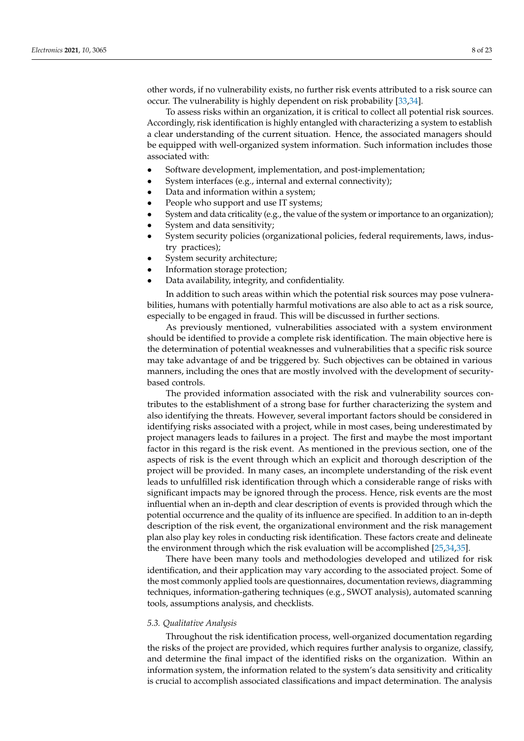other words, if no vulnerability exists, no further risk events attributed to a risk source can occur. The vulnerability is highly dependent on risk probability [\[33,](#page-21-17)[34\]](#page-21-18).

To assess risks within an organization, it is critical to collect all potential risk sources. Accordingly, risk identification is highly entangled with characterizing a system to establish a clear understanding of the current situation. Hence, the associated managers should be equipped with well-organized system information. Such information includes those associated with:

- Software development, implementation, and post-implementation;
- System interfaces (e.g., internal and external connectivity);
- Data and information within a system;
- People who support and use IT systems;
- System and data criticality (e.g., the value of the system or importance to an organization);
- System and data sensitivity;
- System security policies (organizational policies, federal requirements, laws, industry practices);
- System security architecture;
- Information storage protection;
- Data availability, integrity, and confidentiality.

In addition to such areas within which the potential risk sources may pose vulnerabilities, humans with potentially harmful motivations are also able to act as a risk source, especially to be engaged in fraud. This will be discussed in further sections.

As previously mentioned, vulnerabilities associated with a system environment should be identified to provide a complete risk identification. The main objective here is the determination of potential weaknesses and vulnerabilities that a specific risk source may take advantage of and be triggered by. Such objectives can be obtained in various manners, including the ones that are mostly involved with the development of securitybased controls.

The provided information associated with the risk and vulnerability sources contributes to the establishment of a strong base for further characterizing the system and also identifying the threats. However, several important factors should be considered in identifying risks associated with a project, while in most cases, being underestimated by project managers leads to failures in a project. The first and maybe the most important factor in this regard is the risk event. As mentioned in the previous section, one of the aspects of risk is the event through which an explicit and thorough description of the project will be provided. In many cases, an incomplete understanding of the risk event leads to unfulfilled risk identification through which a considerable range of risks with significant impacts may be ignored through the process. Hence, risk events are the most influential when an in-depth and clear description of events is provided through which the potential occurrence and the quality of its influence are specified. In addition to an in-depth description of the risk event, the organizational environment and the risk management plan also play key roles in conducting risk identification. These factors create and delineate the environment through which the risk evaluation will be accomplished [\[25](#page-21-10)[,34](#page-21-18)[,35\]](#page-21-19).

There have been many tools and methodologies developed and utilized for risk identification, and their application may vary according to the associated project. Some of the most commonly applied tools are questionnaires, documentation reviews, diagramming techniques, information-gathering techniques (e.g., SWOT analysis), automated scanning tools, assumptions analysis, and checklists.

#### *5.3. Qualitative Analysis*

Throughout the risk identification process, well-organized documentation regarding the risks of the project are provided, which requires further analysis to organize, classify, and determine the final impact of the identified risks on the organization. Within an information system, the information related to the system's data sensitivity and criticality is crucial to accomplish associated classifications and impact determination. The analysis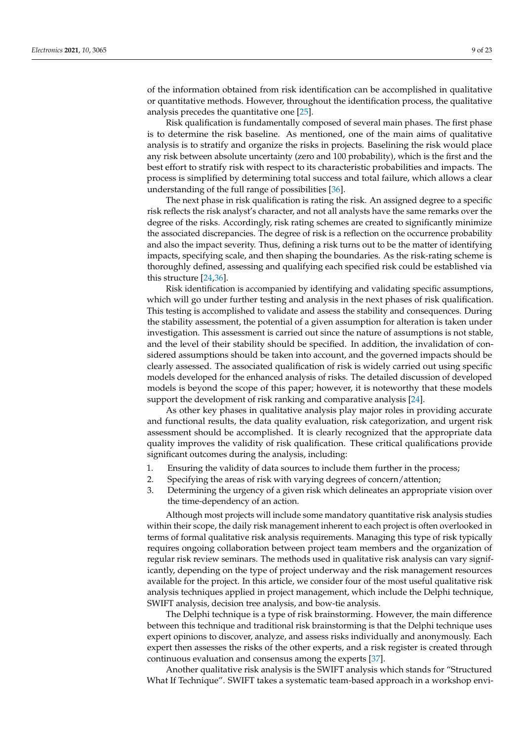of the information obtained from risk identification can be accomplished in qualitative or quantitative methods. However, throughout the identification process, the qualitative analysis precedes the quantitative one [\[25\]](#page-21-10).

Risk qualification is fundamentally composed of several main phases. The first phase is to determine the risk baseline. As mentioned, one of the main aims of qualitative analysis is to stratify and organize the risks in projects. Baselining the risk would place any risk between absolute uncertainty (zero and 100 probability), which is the first and the best effort to stratify risk with respect to its characteristic probabilities and impacts. The process is simplified by determining total success and total failure, which allows a clear understanding of the full range of possibilities [\[36\]](#page-21-20).

The next phase in risk qualification is rating the risk. An assigned degree to a specific risk reflects the risk analyst's character, and not all analysts have the same remarks over the degree of the risks. Accordingly, risk rating schemes are created to significantly minimize the associated discrepancies. The degree of risk is a reflection on the occurrence probability and also the impact severity. Thus, defining a risk turns out to be the matter of identifying impacts, specifying scale, and then shaping the boundaries. As the risk-rating scheme is thoroughly defined, assessing and qualifying each specified risk could be established via this structure [\[24,](#page-21-9)[36\]](#page-21-20).

Risk identification is accompanied by identifying and validating specific assumptions, which will go under further testing and analysis in the next phases of risk qualification. This testing is accomplished to validate and assess the stability and consequences. During the stability assessment, the potential of a given assumption for alteration is taken under investigation. This assessment is carried out since the nature of assumptions is not stable, and the level of their stability should be specified. In addition, the invalidation of considered assumptions should be taken into account, and the governed impacts should be clearly assessed. The associated qualification of risk is widely carried out using specific models developed for the enhanced analysis of risks. The detailed discussion of developed models is beyond the scope of this paper; however, it is noteworthy that these models support the development of risk ranking and comparative analysis [\[24\]](#page-21-9).

As other key phases in qualitative analysis play major roles in providing accurate and functional results, the data quality evaluation, risk categorization, and urgent risk assessment should be accomplished. It is clearly recognized that the appropriate data quality improves the validity of risk qualification. These critical qualifications provide significant outcomes during the analysis, including:

- 1. Ensuring the validity of data sources to include them further in the process;
- 2. Specifying the areas of risk with varying degrees of concern/attention;
- 3. Determining the urgency of a given risk which delineates an appropriate vision over the time-dependency of an action.

Although most projects will include some mandatory quantitative risk analysis studies within their scope, the daily risk management inherent to each project is often overlooked in terms of formal qualitative risk analysis requirements. Managing this type of risk typically requires ongoing collaboration between project team members and the organization of regular risk review seminars. The methods used in qualitative risk analysis can vary significantly, depending on the type of project underway and the risk management resources available for the project. In this article, we consider four of the most useful qualitative risk analysis techniques applied in project management, which include the Delphi technique, SWIFT analysis, decision tree analysis, and bow-tie analysis.

The Delphi technique is a type of risk brainstorming. However, the main difference between this technique and traditional risk brainstorming is that the Delphi technique uses expert opinions to discover, analyze, and assess risks individually and anonymously. Each expert then assesses the risks of the other experts, and a risk register is created through continuous evaluation and consensus among the experts [\[37\]](#page-21-21).

Another qualitative risk analysis is the SWIFT analysis which stands for "Structured What If Technique". SWIFT takes a systematic team-based approach in a workshop envi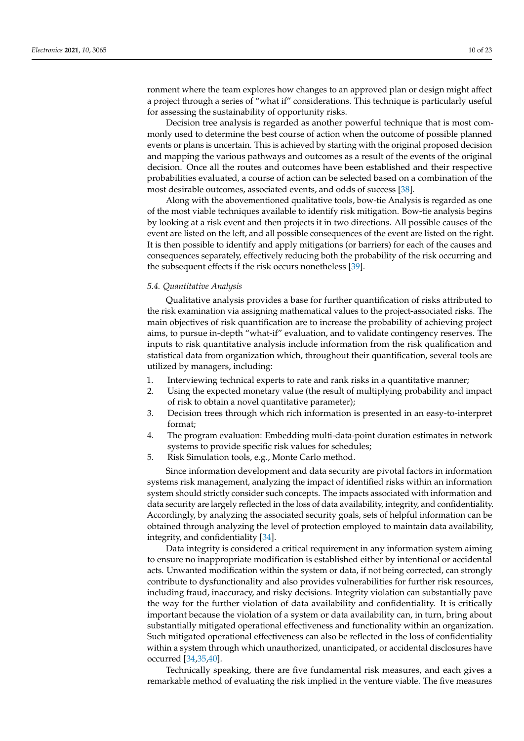ronment where the team explores how changes to an approved plan or design might affect a project through a series of "what if" considerations. This technique is particularly useful for assessing the sustainability of opportunity risks.

Decision tree analysis is regarded as another powerful technique that is most commonly used to determine the best course of action when the outcome of possible planned events or plans is uncertain. This is achieved by starting with the original proposed decision and mapping the various pathways and outcomes as a result of the events of the original decision. Once all the routes and outcomes have been established and their respective probabilities evaluated, a course of action can be selected based on a combination of the most desirable outcomes, associated events, and odds of success [\[38\]](#page-21-22).

Along with the abovementioned qualitative tools, bow-tie Analysis is regarded as one of the most viable techniques available to identify risk mitigation. Bow-tie analysis begins by looking at a risk event and then projects it in two directions. All possible causes of the event are listed on the left, and all possible consequences of the event are listed on the right. It is then possible to identify and apply mitigations (or barriers) for each of the causes and consequences separately, effectively reducing both the probability of the risk occurring and the subsequent effects if the risk occurs nonetheless [\[39\]](#page-21-23).

## *5.4. Quantitative Analysis*

Qualitative analysis provides a base for further quantification of risks attributed to the risk examination via assigning mathematical values to the project-associated risks. The main objectives of risk quantification are to increase the probability of achieving project aims, to pursue in-depth "what-if" evaluation, and to validate contingency reserves. The inputs to risk quantitative analysis include information from the risk qualification and statistical data from organization which, throughout their quantification, several tools are utilized by managers, including:

- 1. Interviewing technical experts to rate and rank risks in a quantitative manner;
- 2. Using the expected monetary value (the result of multiplying probability and impact of risk to obtain a novel quantitative parameter);
- 3. Decision trees through which rich information is presented in an easy-to-interpret format;
- 4. The program evaluation: Embedding multi-data-point duration estimates in network systems to provide specific risk values for schedules;
- 5. Risk Simulation tools, e.g., Monte Carlo method.

Since information development and data security are pivotal factors in information systems risk management, analyzing the impact of identified risks within an information system should strictly consider such concepts. The impacts associated with information and data security are largely reflected in the loss of data availability, integrity, and confidentiality. Accordingly, by analyzing the associated security goals, sets of helpful information can be obtained through analyzing the level of protection employed to maintain data availability, integrity, and confidentiality [\[34\]](#page-21-18).

Data integrity is considered a critical requirement in any information system aiming to ensure no inappropriate modification is established either by intentional or accidental acts. Unwanted modification within the system or data, if not being corrected, can strongly contribute to dysfunctionality and also provides vulnerabilities for further risk resources, including fraud, inaccuracy, and risky decisions. Integrity violation can substantially pave the way for the further violation of data availability and confidentiality. It is critically important because the violation of a system or data availability can, in turn, bring about substantially mitigated operational effectiveness and functionality within an organization. Such mitigated operational effectiveness can also be reflected in the loss of confidentiality within a system through which unauthorized, unanticipated, or accidental disclosures have occurred [\[34](#page-21-18)[,35](#page-21-19)[,40\]](#page-21-24).

Technically speaking, there are five fundamental risk measures, and each gives a remarkable method of evaluating the risk implied in the venture viable. The five measures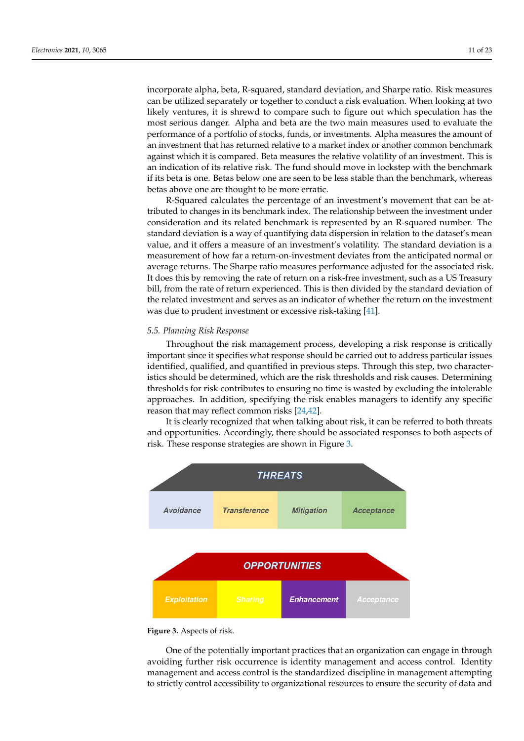incorporate alpha, beta, R-squared, standard deviation, and Sharpe ratio. Risk measures can be utilized separately or together to conduct a risk evaluation. When looking at two likely ventures, it is shrewd to compare such to figure out which speculation has the most serious danger. Alpha and beta are the two main measures used to evaluate the performance of a portfolio of stocks, funds, or investments. Alpha measures the amount of an investment that has returned relative to a market index or another common benchmark against which it is compared. Beta measures the relative volatility of an investment. This is an indication of its relative risk. The fund should move in lockstep with the benchmark if its beta is one. Betas below one are seen to be less stable than the benchmark, whereas betas above one are thought to be more erratic.

R-Squared calculates the percentage of an investment's movement that can be attributed to changes in its benchmark index. The relationship between the investment under consideration and its related benchmark is represented by an R-squared number. The standard deviation is a way of quantifying data dispersion in relation to the dataset's mean value, and it offers a measure of an investment's volatility. The standard deviation is a measurement of how far a return-on-investment deviates from the anticipated normal or average returns. The Sharpe ratio measures performance adjusted for the associated risk. It does this by removing the rate of return on a risk-free investment, such as a US Treasury bill, from the rate of return experienced. This is then divided by the standard deviation of the related investment and serves as an indicator of whether the return on the investment was due to prudent investment or excessive risk-taking [\[41\]](#page-21-25).

### *5.5. Planning Risk Response*

Throughout the risk management process, developing a risk response is critically important since it specifies what response should be carried out to address particular issues identified, qualified, and quantified in previous steps. Through this step, two characteristics should be determined, which are the risk thresholds and risk causes. Determining thresholds for risk contributes to ensuring no time is wasted by excluding the intolerable approaches. In addition, specifying the risk enables managers to identify any specific reason that may reflect common risks [\[24,](#page-21-9)[42\]](#page-21-26).

It is clearly recognized that when talking about risk, it can be referred to both threats and opportunities. Accordingly, there should be associated responses to both aspects of risk. These response strategies are shown in Figure [3.](#page-10-0)

<span id="page-10-0"></span>



One of the potentially important practices that an organization can engage in through One of the potentially important practices that an organization can engage in through avoiding further risk occurrence is identity management and access control. Identity man-avoiding further risk occurrence is identity management and access control. Identity management and access control is the standardized discipline in management attempting strictly control accessibility to organizational resources to ensure the security of data and to strictly control accessibility to organizational resources to ensure the security of data and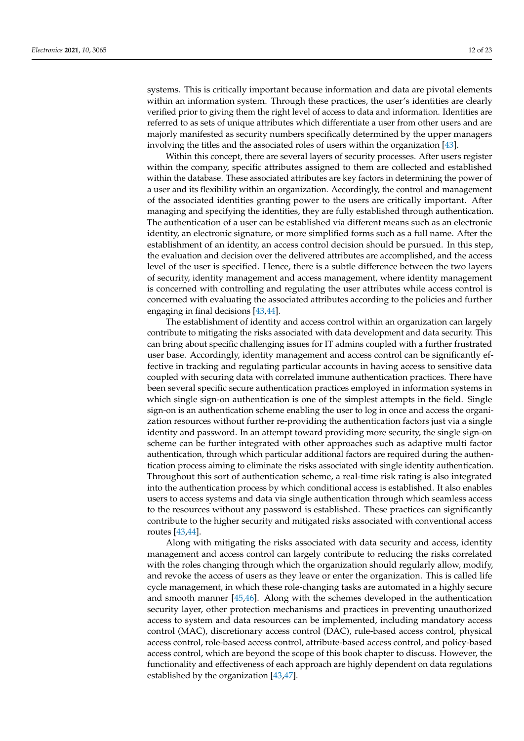systems. This is critically important because information and data are pivotal elements within an information system. Through these practices, the user's identities are clearly verified prior to giving them the right level of access to data and information. Identities are referred to as sets of unique attributes which differentiate a user from other users and are majorly manifested as security numbers specifically determined by the upper managers involving the titles and the associated roles of users within the organization [\[43\]](#page-21-27).

Within this concept, there are several layers of security processes. After users register within the company, specific attributes assigned to them are collected and established within the database. These associated attributes are key factors in determining the power of a user and its flexibility within an organization. Accordingly, the control and management of the associated identities granting power to the users are critically important. After managing and specifying the identities, they are fully established through authentication. The authentication of a user can be established via different means such as an electronic identity, an electronic signature, or more simplified forms such as a full name. After the establishment of an identity, an access control decision should be pursued. In this step, the evaluation and decision over the delivered attributes are accomplished, and the access level of the user is specified. Hence, there is a subtle difference between the two layers of security, identity management and access management, where identity management is concerned with controlling and regulating the user attributes while access control is concerned with evaluating the associated attributes according to the policies and further engaging in final decisions [\[43,](#page-21-27)[44\]](#page-21-28).

The establishment of identity and access control within an organization can largely contribute to mitigating the risks associated with data development and data security. This can bring about specific challenging issues for IT admins coupled with a further frustrated user base. Accordingly, identity management and access control can be significantly effective in tracking and regulating particular accounts in having access to sensitive data coupled with securing data with correlated immune authentication practices. There have been several specific secure authentication practices employed in information systems in which single sign-on authentication is one of the simplest attempts in the field. Single sign-on is an authentication scheme enabling the user to log in once and access the organization resources without further re-providing the authentication factors just via a single identity and password. In an attempt toward providing more security, the single sign-on scheme can be further integrated with other approaches such as adaptive multi factor authentication, through which particular additional factors are required during the authentication process aiming to eliminate the risks associated with single identity authentication. Throughout this sort of authentication scheme, a real-time risk rating is also integrated into the authentication process by which conditional access is established. It also enables users to access systems and data via single authentication through which seamless access to the resources without any password is established. These practices can significantly contribute to the higher security and mitigated risks associated with conventional access routes [\[43](#page-21-27)[,44\]](#page-21-28).

Along with mitigating the risks associated with data security and access, identity management and access control can largely contribute to reducing the risks correlated with the roles changing through which the organization should regularly allow, modify, and revoke the access of users as they leave or enter the organization. This is called life cycle management, in which these role-changing tasks are automated in a highly secure and smooth manner [\[45,](#page-21-29)[46\]](#page-21-30). Along with the schemes developed in the authentication security layer, other protection mechanisms and practices in preventing unauthorized access to system and data resources can be implemented, including mandatory access control (MAC), discretionary access control (DAC), rule-based access control, physical access control, role-based access control, attribute-based access control, and policy-based access control, which are beyond the scope of this book chapter to discuss. However, the functionality and effectiveness of each approach are highly dependent on data regulations established by the organization [\[43,](#page-21-27)[47\]](#page-21-31).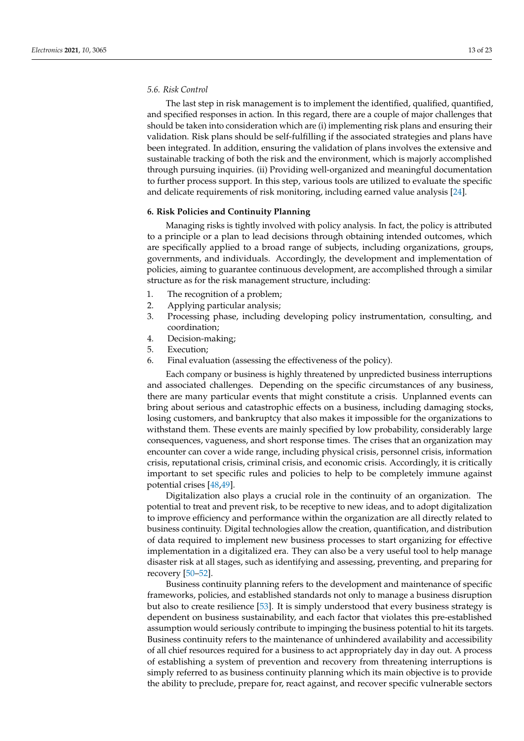#### *5.6. Risk Control*

The last step in risk management is to implement the identified, qualified, quantified, and specified responses in action. In this regard, there are a couple of major challenges that should be taken into consideration which are (i) implementing risk plans and ensuring their validation. Risk plans should be self-fulfilling if the associated strategies and plans have been integrated. In addition, ensuring the validation of plans involves the extensive and sustainable tracking of both the risk and the environment, which is majorly accomplished through pursuing inquiries. (ii) Providing well-organized and meaningful documentation to further process support. In this step, various tools are utilized to evaluate the specific and delicate requirements of risk monitoring, including earned value analysis [\[24\]](#page-21-9).

#### **6. Risk Policies and Continuity Planning**

Managing risks is tightly involved with policy analysis. In fact, the policy is attributed to a principle or a plan to lead decisions through obtaining intended outcomes, which are specifically applied to a broad range of subjects, including organizations, groups, governments, and individuals. Accordingly, the development and implementation of policies, aiming to guarantee continuous development, are accomplished through a similar structure as for the risk management structure, including:

- 1. The recognition of a problem;
- 2. Applying particular analysis;
- 3. Processing phase, including developing policy instrumentation, consulting, and coordination;
- 4. Decision-making;
- 5. Execution;
- 6. Final evaluation (assessing the effectiveness of the policy).

Each company or business is highly threatened by unpredicted business interruptions and associated challenges. Depending on the specific circumstances of any business, there are many particular events that might constitute a crisis. Unplanned events can bring about serious and catastrophic effects on a business, including damaging stocks, losing customers, and bankruptcy that also makes it impossible for the organizations to withstand them. These events are mainly specified by low probability, considerably large consequences, vagueness, and short response times. The crises that an organization may encounter can cover a wide range, including physical crisis, personnel crisis, information crisis, reputational crisis, criminal crisis, and economic crisis. Accordingly, it is critically important to set specific rules and policies to help to be completely immune against potential crises [\[48](#page-22-0)[,49\]](#page-22-1).

Digitalization also plays a crucial role in the continuity of an organization. The potential to treat and prevent risk, to be receptive to new ideas, and to adopt digitalization to improve efficiency and performance within the organization are all directly related to business continuity. Digital technologies allow the creation, quantification, and distribution of data required to implement new business processes to start organizing for effective implementation in a digitalized era. They can also be a very useful tool to help manage disaster risk at all stages, such as identifying and assessing, preventing, and preparing for recovery [\[50](#page-22-2)[–52\]](#page-22-3).

Business continuity planning refers to the development and maintenance of specific frameworks, policies, and established standards not only to manage a business disruption but also to create resilience [\[53\]](#page-22-4). It is simply understood that every business strategy is dependent on business sustainability, and each factor that violates this pre-established assumption would seriously contribute to impinging the business potential to hit its targets. Business continuity refers to the maintenance of unhindered availability and accessibility of all chief resources required for a business to act appropriately day in day out. A process of establishing a system of prevention and recovery from threatening interruptions is simply referred to as business continuity planning which its main objective is to provide the ability to preclude, prepare for, react against, and recover specific vulnerable sectors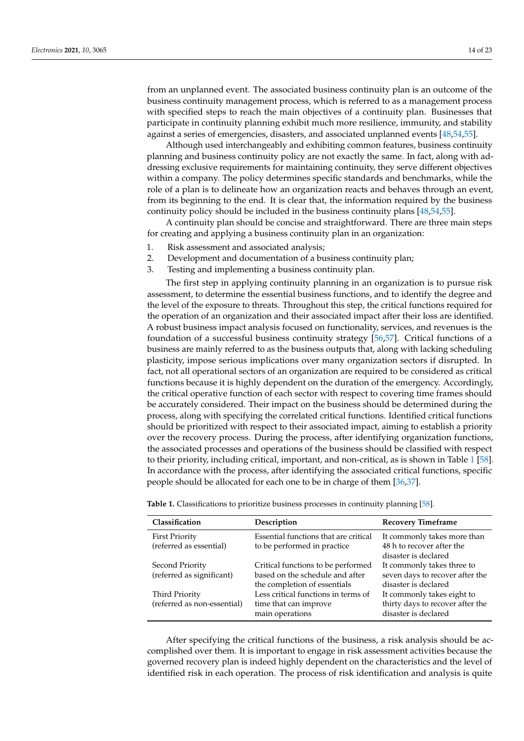from an unplanned event. The associated business continuity plan is an outcome of the business continuity management process, which is referred to as a management process with specified steps to reach the main objectives of a continuity plan. Businesses that participate in continuity planning exhibit much more resilience, immunity, and stability against a series of emergencies, disasters, and associated unplanned events [\[48,](#page-22-0)[54](#page-22-5)[,55\]](#page-22-6).

Although used interchangeably and exhibiting common features, business continuity planning and business continuity policy are not exactly the same. In fact, along with addressing exclusive requirements for maintaining continuity, they serve different objectives within a company. The policy determines specific standards and benchmarks, while the role of a plan is to delineate how an organization reacts and behaves through an event, from its beginning to the end. It is clear that, the information required by the business continuity policy should be included in the business continuity plans [\[48,](#page-22-0)[54](#page-22-5)[,55\]](#page-22-6).

A continuity plan should be concise and straightforward. There are three main steps for creating and applying a business continuity plan in an organization:

- 1. Risk assessment and associated analysis;
- 2. Development and documentation of a business continuity plan;
- 3. Testing and implementing a business continuity plan.

The first step in applying continuity planning in an organization is to pursue risk assessment, to determine the essential business functions, and to identify the degree and the level of the exposure to threats. Throughout this step, the critical functions required for the operation of an organization and their associated impact after their loss are identified. A robust business impact analysis focused on functionality, services, and revenues is the foundation of a successful business continuity strategy [\[56](#page-22-7)[,57\]](#page-22-8). Critical functions of a business are mainly referred to as the business outputs that, along with lacking scheduling plasticity, impose serious implications over many organization sectors if disrupted. In fact, not all operational sectors of an organization are required to be considered as critical functions because it is highly dependent on the duration of the emergency. Accordingly, the critical operative function of each sector with respect to covering time frames should be accurately considered. Their impact on the business should be determined during the process, along with specifying the correlated critical functions. Identified critical functions should be prioritized with respect to their associated impact, aiming to establish a priority over the recovery process. During the process, after identifying organization functions, the associated processes and operations of the business should be classified with respect to their priority, including critical, important, and non-critical, as is shown in Table [1](#page-13-0) [\[58\]](#page-22-9). In accordance with the process, after identifying the associated critical functions, specific people should be allocated for each one to be in charge of them [\[36](#page-21-20)[,37\]](#page-21-21).

| Classification                                   | Description                                                          | <b>Recovery Timeframe</b>                                                        |
|--------------------------------------------------|----------------------------------------------------------------------|----------------------------------------------------------------------------------|
| <b>First Priority</b><br>(referred as essential) | Essential functions that are critical<br>to be performed in practice | It commonly takes more than<br>48 h to recover after the<br>disaster is declared |
| Second Priority                                  | Critical functions to be performed                                   | It commonly takes three to                                                       |
| (referred as significant)                        | based on the schedule and after<br>the completion of essentials      | seven days to recover after the<br>disaster is declared                          |
| Third Priority                                   | Less critical functions in terms of                                  | It commonly takes eight to                                                       |
| (referred as non-essential)                      | time that can improve<br>main operations                             | thirty days to recover after the<br>disaster is declared                         |

<span id="page-13-0"></span>**Table 1.** Classifications to prioritize business processes in continuity planning [\[58\]](#page-22-9).

After specifying the critical functions of the business, a risk analysis should be accomplished over them. It is important to engage in risk assessment activities because the governed recovery plan is indeed highly dependent on the characteristics and the level of identified risk in each operation. The process of risk identification and analysis is quite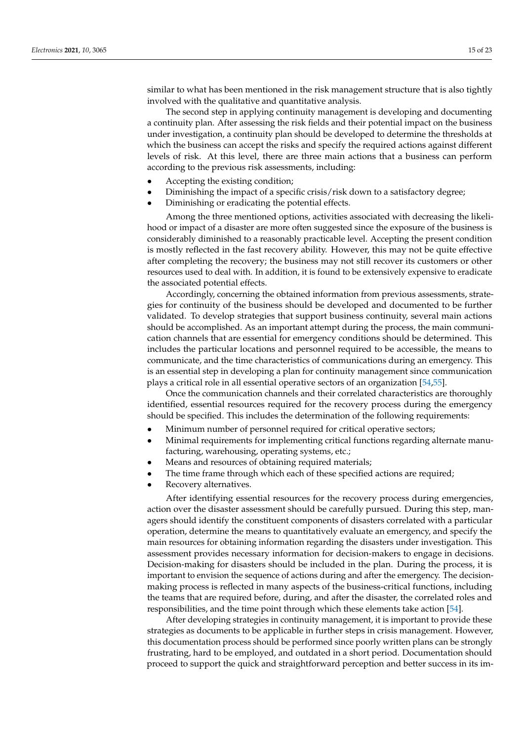similar to what has been mentioned in the risk management structure that is also tightly involved with the qualitative and quantitative analysis.

The second step in applying continuity management is developing and documenting a continuity plan. After assessing the risk fields and their potential impact on the business under investigation, a continuity plan should be developed to determine the thresholds at which the business can accept the risks and specify the required actions against different levels of risk. At this level, there are three main actions that a business can perform according to the previous risk assessments, including:

- Accepting the existing condition;
- Diminishing the impact of a specific crisis/risk down to a satisfactory degree;
- Diminishing or eradicating the potential effects.

Among the three mentioned options, activities associated with decreasing the likelihood or impact of a disaster are more often suggested since the exposure of the business is considerably diminished to a reasonably practicable level. Accepting the present condition is mostly reflected in the fast recovery ability. However, this may not be quite effective after completing the recovery; the business may not still recover its customers or other resources used to deal with. In addition, it is found to be extensively expensive to eradicate the associated potential effects.

Accordingly, concerning the obtained information from previous assessments, strategies for continuity of the business should be developed and documented to be further validated. To develop strategies that support business continuity, several main actions should be accomplished. As an important attempt during the process, the main communication channels that are essential for emergency conditions should be determined. This includes the particular locations and personnel required to be accessible, the means to communicate, and the time characteristics of communications during an emergency. This is an essential step in developing a plan for continuity management since communication plays a critical role in all essential operative sectors of an organization [\[54](#page-22-5)[,55\]](#page-22-6).

Once the communication channels and their correlated characteristics are thoroughly identified, essential resources required for the recovery process during the emergency should be specified. This includes the determination of the following requirements:

- Minimum number of personnel required for critical operative sectors;
- Minimal requirements for implementing critical functions regarding alternate manufacturing, warehousing, operating systems, etc.;
- Means and resources of obtaining required materials;
- The time frame through which each of these specified actions are required;
- Recovery alternatives.

After identifying essential resources for the recovery process during emergencies, action over the disaster assessment should be carefully pursued. During this step, managers should identify the constituent components of disasters correlated with a particular operation, determine the means to quantitatively evaluate an emergency, and specify the main resources for obtaining information regarding the disasters under investigation. This assessment provides necessary information for decision-makers to engage in decisions. Decision-making for disasters should be included in the plan. During the process, it is important to envision the sequence of actions during and after the emergency. The decisionmaking process is reflected in many aspects of the business-critical functions, including the teams that are required before, during, and after the disaster, the correlated roles and responsibilities, and the time point through which these elements take action [\[54\]](#page-22-5).

After developing strategies in continuity management, it is important to provide these strategies as documents to be applicable in further steps in crisis management. However, this documentation process should be performed since poorly written plans can be strongly frustrating, hard to be employed, and outdated in a short period. Documentation should proceed to support the quick and straightforward perception and better success in its im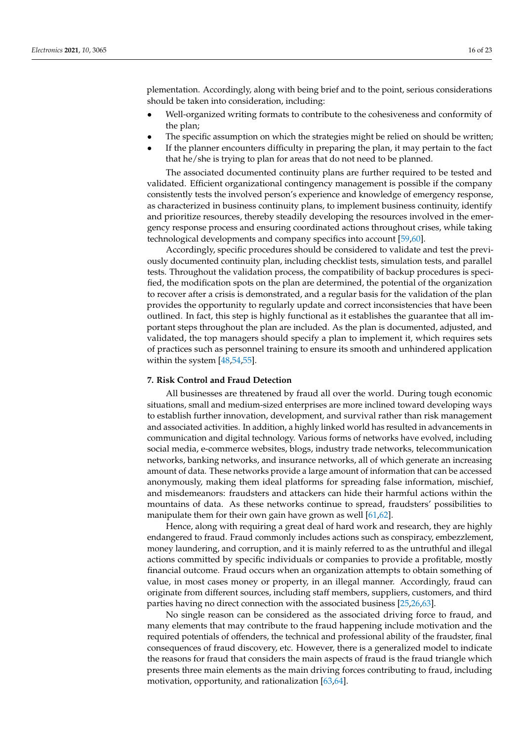plementation. Accordingly, along with being brief and to the point, serious considerations should be taken into consideration, including:

- Well-organized writing formats to contribute to the cohesiveness and conformity of the plan;
- The specific assumption on which the strategies might be relied on should be written;
- If the planner encounters difficulty in preparing the plan, it may pertain to the fact that he/she is trying to plan for areas that do not need to be planned.

The associated documented continuity plans are further required to be tested and validated. Efficient organizational contingency management is possible if the company consistently tests the involved person's experience and knowledge of emergency response, as characterized in business continuity plans, to implement business continuity, identify and prioritize resources, thereby steadily developing the resources involved in the emergency response process and ensuring coordinated actions throughout crises, while taking technological developments and company specifics into account [\[59](#page-22-10)[,60\]](#page-22-11).

Accordingly, specific procedures should be considered to validate and test the previously documented continuity plan, including checklist tests, simulation tests, and parallel tests. Throughout the validation process, the compatibility of backup procedures is specified, the modification spots on the plan are determined, the potential of the organization to recover after a crisis is demonstrated, and a regular basis for the validation of the plan provides the opportunity to regularly update and correct inconsistencies that have been outlined. In fact, this step is highly functional as it establishes the guarantee that all important steps throughout the plan are included. As the plan is documented, adjusted, and validated, the top managers should specify a plan to implement it, which requires sets of practices such as personnel training to ensure its smooth and unhindered application within the system [\[48,](#page-22-0)[54,](#page-22-5)[55\]](#page-22-6).

## **7. Risk Control and Fraud Detection**

All businesses are threatened by fraud all over the world. During tough economic situations, small and medium-sized enterprises are more inclined toward developing ways to establish further innovation, development, and survival rather than risk management and associated activities. In addition, a highly linked world has resulted in advancements in communication and digital technology. Various forms of networks have evolved, including social media, e-commerce websites, blogs, industry trade networks, telecommunication networks, banking networks, and insurance networks, all of which generate an increasing amount of data. These networks provide a large amount of information that can be accessed anonymously, making them ideal platforms for spreading false information, mischief, and misdemeanors: fraudsters and attackers can hide their harmful actions within the mountains of data. As these networks continue to spread, fraudsters' possibilities to manipulate them for their own gain have grown as well [\[61,](#page-22-12)[62\]](#page-22-13).

Hence, along with requiring a great deal of hard work and research, they are highly endangered to fraud. Fraud commonly includes actions such as conspiracy, embezzlement, money laundering, and corruption, and it is mainly referred to as the untruthful and illegal actions committed by specific individuals or companies to provide a profitable, mostly financial outcome. Fraud occurs when an organization attempts to obtain something of value, in most cases money or property, in an illegal manner. Accordingly, fraud can originate from different sources, including staff members, suppliers, customers, and third parties having no direct connection with the associated business [\[25](#page-21-10)[,26](#page-21-32)[,63\]](#page-22-14).

No single reason can be considered as the associated driving force to fraud, and many elements that may contribute to the fraud happening include motivation and the required potentials of offenders, the technical and professional ability of the fraudster, final consequences of fraud discovery, etc. However, there is a generalized model to indicate the reasons for fraud that considers the main aspects of fraud is the fraud triangle which presents three main elements as the main driving forces contributing to fraud, including motivation, opportunity, and rationalization [\[63,](#page-22-14)[64\]](#page-22-15).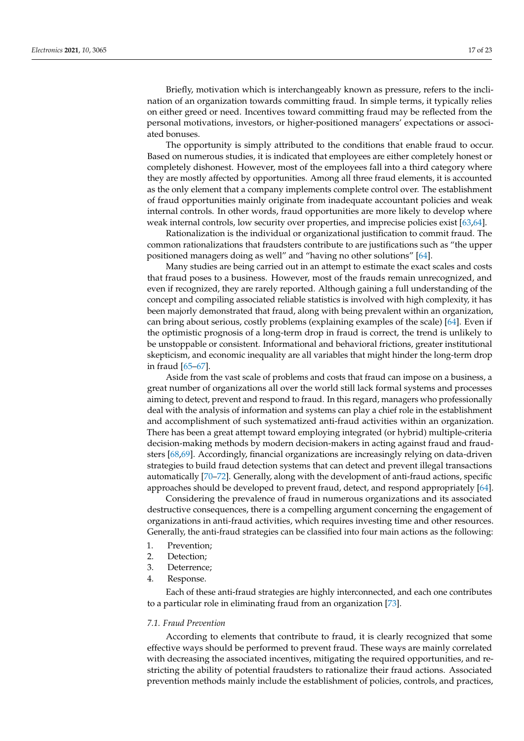Briefly, motivation which is interchangeably known as pressure, refers to the inclination of an organization towards committing fraud. In simple terms, it typically relies on either greed or need. Incentives toward committing fraud may be reflected from the personal motivations, investors, or higher-positioned managers' expectations or associated bonuses.

The opportunity is simply attributed to the conditions that enable fraud to occur. Based on numerous studies, it is indicated that employees are either completely honest or completely dishonest. However, most of the employees fall into a third category where they are mostly affected by opportunities. Among all three fraud elements, it is accounted as the only element that a company implements complete control over. The establishment of fraud opportunities mainly originate from inadequate accountant policies and weak internal controls. In other words, fraud opportunities are more likely to develop where weak internal controls, low security over properties, and imprecise policies exist [\[63](#page-22-14)[,64\]](#page-22-15).

Rationalization is the individual or organizational justification to commit fraud. The common rationalizations that fraudsters contribute to are justifications such as "the upper positioned managers doing as well" and "having no other solutions" [\[64\]](#page-22-15).

Many studies are being carried out in an attempt to estimate the exact scales and costs that fraud poses to a business. However, most of the frauds remain unrecognized, and even if recognized, they are rarely reported. Although gaining a full understanding of the concept and compiling associated reliable statistics is involved with high complexity, it has been majorly demonstrated that fraud, along with being prevalent within an organization, can bring about serious, costly problems (explaining examples of the scale) [\[64\]](#page-22-15). Even if the optimistic prognosis of a long-term drop in fraud is correct, the trend is unlikely to be unstoppable or consistent. Informational and behavioral frictions, greater institutional skepticism, and economic inequality are all variables that might hinder the long-term drop in fraud [\[65–](#page-22-16)[67\]](#page-22-17).

Aside from the vast scale of problems and costs that fraud can impose on a business, a great number of organizations all over the world still lack formal systems and processes aiming to detect, prevent and respond to fraud. In this regard, managers who professionally deal with the analysis of information and systems can play a chief role in the establishment and accomplishment of such systematized anti-fraud activities within an organization. There has been a great attempt toward employing integrated (or hybrid) multiple-criteria decision-making methods by modern decision-makers in acting against fraud and fraudsters [\[68,](#page-22-18)[69\]](#page-22-19). Accordingly, financial organizations are increasingly relying on data-driven strategies to build fraud detection systems that can detect and prevent illegal transactions automatically [\[70–](#page-22-20)[72\]](#page-22-21). Generally, along with the development of anti-fraud actions, specific approaches should be developed to prevent fraud, detect, and respond appropriately [\[64\]](#page-22-15).

Considering the prevalence of fraud in numerous organizations and its associated destructive consequences, there is a compelling argument concerning the engagement of organizations in anti-fraud activities, which requires investing time and other resources. Generally, the anti-fraud strategies can be classified into four main actions as the following:

- 1. Prevention;
- 2. Detection;
- 3. Deterrence;
- 4. Response.

Each of these anti-fraud strategies are highly interconnected, and each one contributes to a particular role in eliminating fraud from an organization [\[73\]](#page-22-22).

#### *7.1. Fraud Prevention*

According to elements that contribute to fraud, it is clearly recognized that some effective ways should be performed to prevent fraud. These ways are mainly correlated with decreasing the associated incentives, mitigating the required opportunities, and restricting the ability of potential fraudsters to rationalize their fraud actions. Associated prevention methods mainly include the establishment of policies, controls, and practices,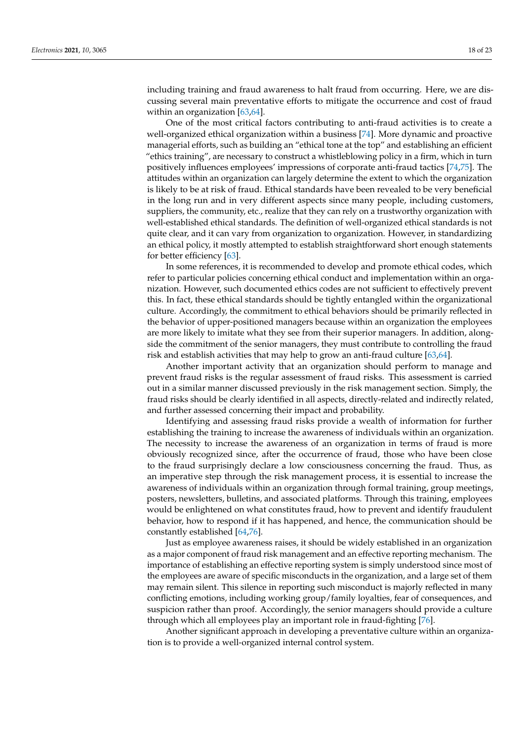including training and fraud awareness to halt fraud from occurring. Here, we are discussing several main preventative efforts to mitigate the occurrence and cost of fraud within an organization [\[63,](#page-22-14)[64\]](#page-22-15).

One of the most critical factors contributing to anti-fraud activities is to create a well-organized ethical organization within a business [\[74\]](#page-22-23). More dynamic and proactive managerial efforts, such as building an "ethical tone at the top" and establishing an efficient "ethics training", are necessary to construct a whistleblowing policy in a firm, which in turn positively influences employees' impressions of corporate anti-fraud tactics [\[74](#page-22-23)[,75\]](#page-22-24). The attitudes within an organization can largely determine the extent to which the organization is likely to be at risk of fraud. Ethical standards have been revealed to be very beneficial in the long run and in very different aspects since many people, including customers, suppliers, the community, etc., realize that they can rely on a trustworthy organization with well-established ethical standards. The definition of well-organized ethical standards is not quite clear, and it can vary from organization to organization. However, in standardizing an ethical policy, it mostly attempted to establish straightforward short enough statements for better efficiency [\[63\]](#page-22-14).

In some references, it is recommended to develop and promote ethical codes, which refer to particular policies concerning ethical conduct and implementation within an organization. However, such documented ethics codes are not sufficient to effectively prevent this. In fact, these ethical standards should be tightly entangled within the organizational culture. Accordingly, the commitment to ethical behaviors should be primarily reflected in the behavior of upper-positioned managers because within an organization the employees are more likely to imitate what they see from their superior managers. In addition, alongside the commitment of the senior managers, they must contribute to controlling the fraud risk and establish activities that may help to grow an anti-fraud culture [\[63](#page-22-14)[,64\]](#page-22-15).

Another important activity that an organization should perform to manage and prevent fraud risks is the regular assessment of fraud risks. This assessment is carried out in a similar manner discussed previously in the risk management section. Simply, the fraud risks should be clearly identified in all aspects, directly-related and indirectly related, and further assessed concerning their impact and probability.

Identifying and assessing fraud risks provide a wealth of information for further establishing the training to increase the awareness of individuals within an organization. The necessity to increase the awareness of an organization in terms of fraud is more obviously recognized since, after the occurrence of fraud, those who have been close to the fraud surprisingly declare a low consciousness concerning the fraud. Thus, as an imperative step through the risk management process, it is essential to increase the awareness of individuals within an organization through formal training, group meetings, posters, newsletters, bulletins, and associated platforms. Through this training, employees would be enlightened on what constitutes fraud, how to prevent and identify fraudulent behavior, how to respond if it has happened, and hence, the communication should be constantly established [\[64,](#page-22-15)[76\]](#page-22-25).

Just as employee awareness raises, it should be widely established in an organization as a major component of fraud risk management and an effective reporting mechanism. The importance of establishing an effective reporting system is simply understood since most of the employees are aware of specific misconducts in the organization, and a large set of them may remain silent. This silence in reporting such misconduct is majorly reflected in many conflicting emotions, including working group/family loyalties, fear of consequences, and suspicion rather than proof. Accordingly, the senior managers should provide a culture through which all employees play an important role in fraud-fighting [\[76\]](#page-22-25).

Another significant approach in developing a preventative culture within an organization is to provide a well-organized internal control system.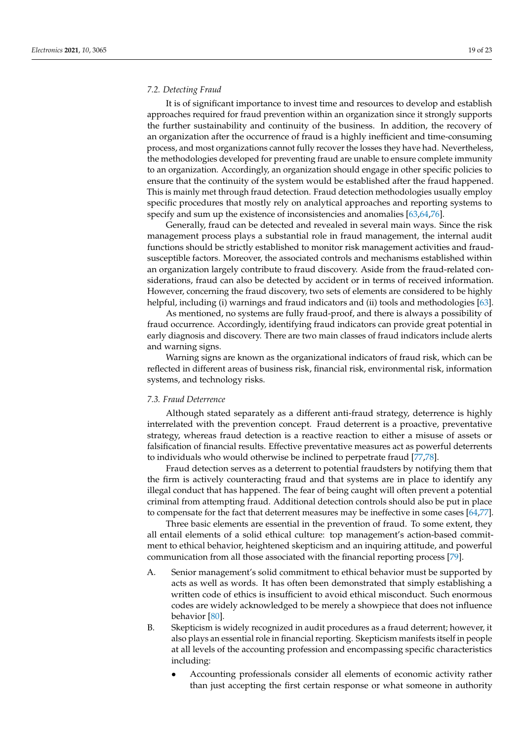### *7.2. Detecting Fraud*

It is of significant importance to invest time and resources to develop and establish approaches required for fraud prevention within an organization since it strongly supports the further sustainability and continuity of the business. In addition, the recovery of an organization after the occurrence of fraud is a highly inefficient and time-consuming process, and most organizations cannot fully recover the losses they have had. Nevertheless, the methodologies developed for preventing fraud are unable to ensure complete immunity to an organization. Accordingly, an organization should engage in other specific policies to ensure that the continuity of the system would be established after the fraud happened. This is mainly met through fraud detection. Fraud detection methodologies usually employ specific procedures that mostly rely on analytical approaches and reporting systems to specify and sum up the existence of inconsistencies and anomalies [\[63,](#page-22-14)[64,](#page-22-15)[76\]](#page-22-25).

Generally, fraud can be detected and revealed in several main ways. Since the risk management process plays a substantial role in fraud management, the internal audit functions should be strictly established to monitor risk management activities and fraudsusceptible factors. Moreover, the associated controls and mechanisms established within an organization largely contribute to fraud discovery. Aside from the fraud-related considerations, fraud can also be detected by accident or in terms of received information. However, concerning the fraud discovery, two sets of elements are considered to be highly helpful, including (i) warnings and fraud indicators and (ii) tools and methodologies [\[63\]](#page-22-14).

As mentioned, no systems are fully fraud-proof, and there is always a possibility of fraud occurrence. Accordingly, identifying fraud indicators can provide great potential in early diagnosis and discovery. There are two main classes of fraud indicators include alerts and warning signs.

Warning signs are known as the organizational indicators of fraud risk, which can be reflected in different areas of business risk, financial risk, environmental risk, information systems, and technology risks.

### *7.3. Fraud Deterrence*

Although stated separately as a different anti-fraud strategy, deterrence is highly interrelated with the prevention concept. Fraud deterrent is a proactive, preventative strategy, whereas fraud detection is a reactive reaction to either a misuse of assets or falsification of financial results. Effective preventative measures act as powerful deterrents to individuals who would otherwise be inclined to perpetrate fraud [\[77,](#page-22-26)[78\]](#page-22-27).

Fraud detection serves as a deterrent to potential fraudsters by notifying them that the firm is actively counteracting fraud and that systems are in place to identify any illegal conduct that has happened. The fear of being caught will often prevent a potential criminal from attempting fraud. Additional detection controls should also be put in place to compensate for the fact that deterrent measures may be ineffective in some cases [\[64](#page-22-15)[,77\]](#page-22-26).

Three basic elements are essential in the prevention of fraud. To some extent, they all entail elements of a solid ethical culture: top management's action-based commitment to ethical behavior, heightened skepticism and an inquiring attitude, and powerful communication from all those associated with the financial reporting process [\[79\]](#page-22-28).

- A. Senior management's solid commitment to ethical behavior must be supported by acts as well as words. It has often been demonstrated that simply establishing a written code of ethics is insufficient to avoid ethical misconduct. Such enormous codes are widely acknowledged to be merely a showpiece that does not influence behavior [\[80\]](#page-22-29).
- B. Skepticism is widely recognized in audit procedures as a fraud deterrent; however, it also plays an essential role in financial reporting. Skepticism manifests itself in people at all levels of the accounting profession and encompassing specific characteristics including:
	- Accounting professionals consider all elements of economic activity rather than just accepting the first certain response or what someone in authority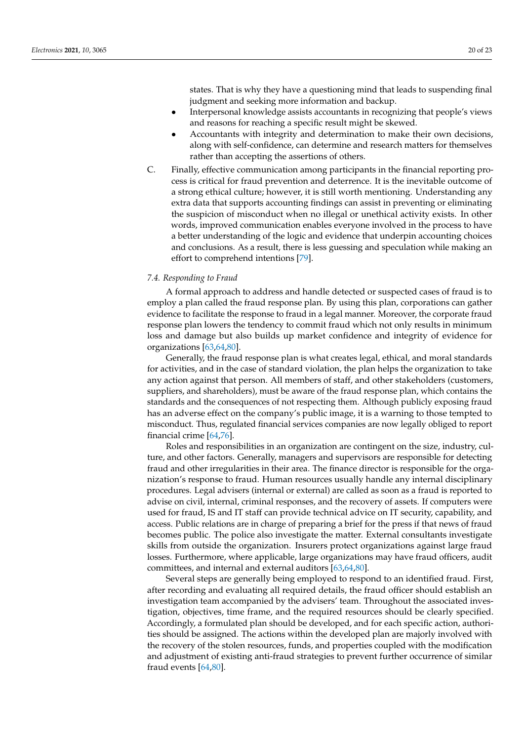states. That is why they have a questioning mind that leads to suspending final judgment and seeking more information and backup.

- Interpersonal knowledge assists accountants in recognizing that people's views and reasons for reaching a specific result might be skewed.
- Accountants with integrity and determination to make their own decisions, along with self-confidence, can determine and research matters for themselves rather than accepting the assertions of others.
- C. Finally, effective communication among participants in the financial reporting process is critical for fraud prevention and deterrence. It is the inevitable outcome of a strong ethical culture; however, it is still worth mentioning. Understanding any extra data that supports accounting findings can assist in preventing or eliminating the suspicion of misconduct when no illegal or unethical activity exists. In other words, improved communication enables everyone involved in the process to have a better understanding of the logic and evidence that underpin accounting choices and conclusions. As a result, there is less guessing and speculation while making an effort to comprehend intentions [\[79\]](#page-22-28).

#### *7.4. Responding to Fraud*

A formal approach to address and handle detected or suspected cases of fraud is to employ a plan called the fraud response plan. By using this plan, corporations can gather evidence to facilitate the response to fraud in a legal manner. Moreover, the corporate fraud response plan lowers the tendency to commit fraud which not only results in minimum loss and damage but also builds up market confidence and integrity of evidence for organizations [\[63,](#page-22-14)[64](#page-22-15)[,80\]](#page-22-29).

Generally, the fraud response plan is what creates legal, ethical, and moral standards for activities, and in the case of standard violation, the plan helps the organization to take any action against that person. All members of staff, and other stakeholders (customers, suppliers, and shareholders), must be aware of the fraud response plan, which contains the standards and the consequences of not respecting them. Although publicly exposing fraud has an adverse effect on the company's public image, it is a warning to those tempted to misconduct. Thus, regulated financial services companies are now legally obliged to report financial crime [\[64,](#page-22-15)[76\]](#page-22-25).

Roles and responsibilities in an organization are contingent on the size, industry, culture, and other factors. Generally, managers and supervisors are responsible for detecting fraud and other irregularities in their area. The finance director is responsible for the organization's response to fraud. Human resources usually handle any internal disciplinary procedures. Legal advisers (internal or external) are called as soon as a fraud is reported to advise on civil, internal, criminal responses, and the recovery of assets. If computers were used for fraud, IS and IT staff can provide technical advice on IT security, capability, and access. Public relations are in charge of preparing a brief for the press if that news of fraud becomes public. The police also investigate the matter. External consultants investigate skills from outside the organization. Insurers protect organizations against large fraud losses. Furthermore, where applicable, large organizations may have fraud officers, audit committees, and internal and external auditors [\[63,](#page-22-14)[64](#page-22-15)[,80\]](#page-22-29).

Several steps are generally being employed to respond to an identified fraud. First, after recording and evaluating all required details, the fraud officer should establish an investigation team accompanied by the advisers' team. Throughout the associated investigation, objectives, time frame, and the required resources should be clearly specified. Accordingly, a formulated plan should be developed, and for each specific action, authorities should be assigned. The actions within the developed plan are majorly involved with the recovery of the stolen resources, funds, and properties coupled with the modification and adjustment of existing anti-fraud strategies to prevent further occurrence of similar fraud events [\[64](#page-22-15)[,80\]](#page-22-29).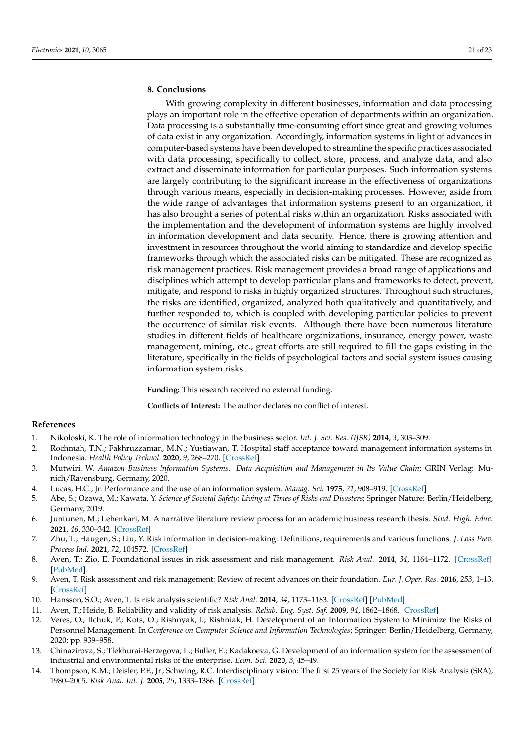# **8. Conclusions**

With growing complexity in different businesses, information and data processing plays an important role in the effective operation of departments within an organization. Data processing is a substantially time-consuming effort since great and growing volumes of data exist in any organization. Accordingly, information systems in light of advances in computer-based systems have been developed to streamline the specific practices associated with data processing, specifically to collect, store, process, and analyze data, and also extract and disseminate information for particular purposes. Such information systems are largely contributing to the significant increase in the effectiveness of organizations through various means, especially in decision-making processes. However, aside from the wide range of advantages that information systems present to an organization, it has also brought a series of potential risks within an organization. Risks associated with the implementation and the development of information systems are highly involved in information development and data security. Hence, there is growing attention and investment in resources throughout the world aiming to standardize and develop specific frameworks through which the associated risks can be mitigated. These are recognized as risk management practices. Risk management provides a broad range of applications and disciplines which attempt to develop particular plans and frameworks to detect, prevent, mitigate, and respond to risks in highly organized structures. Throughout such structures, the risks are identified, organized, analyzed both qualitatively and quantitatively, and further responded to, which is coupled with developing particular policies to prevent the occurrence of similar risk events. Although there have been numerous literature studies in different fields of healthcare organizations, insurance, energy power, waste management, mining, etc., great efforts are still required to fill the gaps existing in the literature, specifically in the fields of psychological factors and social system issues causing information system risks.

**Funding:** This research received no external funding.

**Conflicts of Interest:** The author declares no conflict of interest.

## **References**

- <span id="page-20-0"></span>1. Nikoloski, K. The role of information technology in the business sector. *Int. J. Sci. Res. (IJSR)* **2014**, *3*, 303–309.
- <span id="page-20-1"></span>2. Rochmah, T.N.; Fakhruzzaman, M.N.; Yustiawan, T. Hospital staff acceptance toward management information systems in Indonesia. *Health Policy Technol.* **2020**, *9*, 268–270. [\[CrossRef\]](http://doi.org/10.1016/j.hlpt.2020.07.004)
- <span id="page-20-2"></span>3. Mutwiri, W. *Amazon Business Information Systems. Data Acquisition and Management in Its Value Chain*; GRIN Verlag: Munich/Ravensburg, Germany, 2020.
- <span id="page-20-3"></span>4. Lucas, H.C., Jr. Performance and the use of an information system. *Manag. Sci.* **1975**, *21*, 908–919. [\[CrossRef\]](http://doi.org/10.1287/mnsc.21.8.908)
- <span id="page-20-4"></span>5. Abe, S.; Ozawa, M.; Kawata, Y. *Science of Societal Safety: Living at Times of Risks and Disasters*; Springer Nature: Berlin/Heidelberg, Germany, 2019.
- <span id="page-20-5"></span>6. Juntunen, M.; Lehenkari, M. A narrative literature review process for an academic business research thesis. *Stud. High. Educ.* **2021**, *46*, 330–342. [\[CrossRef\]](http://doi.org/10.1080/03075079.2019.1630813)
- <span id="page-20-6"></span>7. Zhu, T.; Haugen, S.; Liu, Y. Risk information in decision-making: Definitions, requirements and various functions. *J. Loss Prev. Process Ind.* **2021**, *72*, 104572. [\[CrossRef\]](http://doi.org/10.1016/j.jlp.2021.104572)
- <span id="page-20-7"></span>8. Aven, T.; Zio, E. Foundational issues in risk assessment and risk management. *Risk Anal.* **2014**, *34*, 1164–1172. [\[CrossRef\]](http://doi.org/10.1111/risa.12132) [\[PubMed\]](http://www.ncbi.nlm.nih.gov/pubmed/24152111)
- <span id="page-20-8"></span>9. Aven, T. Risk assessment and risk management: Review of recent advances on their foundation. *Eur. J. Oper. Res.* **2016**, *253*, 1–13. [\[CrossRef\]](http://doi.org/10.1016/j.ejor.2015.12.023)
- <span id="page-20-9"></span>10. Hansson, S.O.; Aven, T. Is risk analysis scientific? *Risk Anal.* **2014**, *34*, 1173–1183. [\[CrossRef\]](http://doi.org/10.1111/risa.12230) [\[PubMed\]](http://www.ncbi.nlm.nih.gov/pubmed/24919396)
- <span id="page-20-10"></span>11. Aven, T.; Heide, B. Reliability and validity of risk analysis. *Reliab. Eng. Syst. Saf.* **2009**, *94*, 1862–1868. [\[CrossRef\]](http://doi.org/10.1016/j.ress.2009.06.003)
- <span id="page-20-11"></span>12. Veres, O.; Ilchuk, P.; Kots, O.; Rishnyak, I.; Rishniak, H. Development of an Information System to Minimize the Risks of Personnel Management. In *Conference on Computer Science and Information Technologies*; Springer: Berlin/Heidelberg, Germany, 2020; pp. 939–958.
- <span id="page-20-12"></span>13. Chinazirova, S.; Tlekhurai-Berzegova, L.; Buller, E.; Kadakoeva, G. Development of an information system for the assessment of industrial and environmental risks of the enterprise. *Econ. Sci.* **2020**, *3*, 45–49.
- <span id="page-20-13"></span>14. Thompson, K.M.; Deisler, P.F., Jr.; Schwing, R.C. Interdisciplinary vision: The first 25 years of the Society for Risk Analysis (SRA), 1980–2005. *Risk Anal. Int. J.* **2005**, *25*, 1333–1386. [\[CrossRef\]](http://doi.org/10.1111/j.1539-6924.2005.00702.x)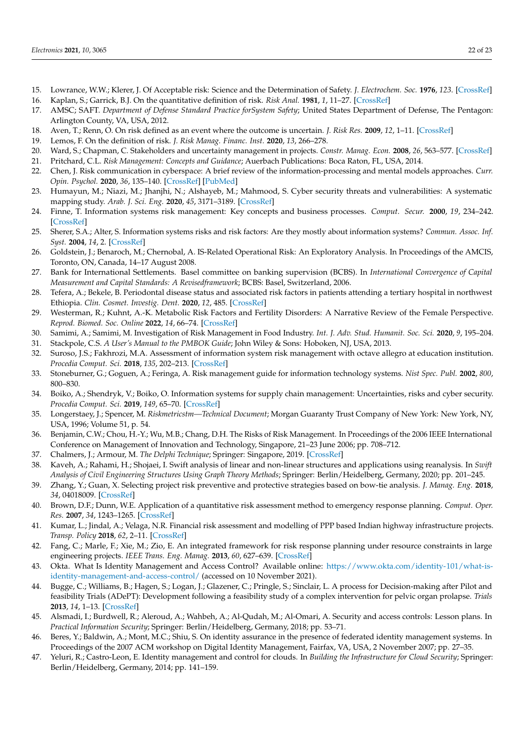- <span id="page-21-0"></span>15. Lowrance, W.W.; Klerer, J. Of Acceptable risk: Science and the Determination of Safety. *J. Electrochem. Soc.* **1976**, *123*. [\[CrossRef\]](http://doi.org/10.1149/1.2132690)
- <span id="page-21-1"></span>16. Kaplan, S.; Garrick, B.J. On the quantitative definition of risk. *Risk Anal.* **1981**, *1*, 11–27. [\[CrossRef\]](http://doi.org/10.1111/j.1539-6924.1981.tb01350.x)
- <span id="page-21-2"></span>17. AMSC; SAFT. *Department of Defense Standard Practice forSystem Safety*; United States Department of Defense, The Pentagon: Arlington County, VA, USA, 2012.
- <span id="page-21-3"></span>18. Aven, T.; Renn, O. On risk defined as an event where the outcome is uncertain. *J. Risk Res.* **2009**, *12*, 1–11. [\[CrossRef\]](http://doi.org/10.1080/13669870802488883)
- <span id="page-21-4"></span>19. Lemos, F. On the definition of risk. *J. Risk Manag. Financ. Inst.* **2020**, *13*, 266–278.
- <span id="page-21-5"></span>20. Ward, S.; Chapman, C. Stakeholders and uncertainty management in projects. *Constr. Manag. Econ.* **2008**, *26*, 563–577. [\[CrossRef\]](http://doi.org/10.1080/01446190801998708)
- <span id="page-21-6"></span>21. Pritchard, C.L. *Risk Management: Concepts and Guidance*; Auerbach Publications: Boca Raton, FL, USA, 2014.
- <span id="page-21-7"></span>22. Chen, J. Risk communication in cyberspace: A brief review of the information-processing and mental models approaches. *Curr. Opin. Psychol.* **2020**, *36*, 135–140. [\[CrossRef\]](http://doi.org/10.1016/j.copsyc.2020.06.006) [\[PubMed\]](http://www.ncbi.nlm.nih.gov/pubmed/32679482)
- <span id="page-21-8"></span>23. Humayun, M.; Niazi, M.; Jhanjhi, N.; Alshayeb, M.; Mahmood, S. Cyber security threats and vulnerabilities: A systematic mapping study. *Arab. J. Sci. Eng.* **2020**, *45*, 3171–3189. [\[CrossRef\]](http://doi.org/10.1007/s13369-019-04319-2)
- <span id="page-21-9"></span>24. Finne, T. Information systems risk management: Key concepts and business processes. *Comput. Secur.* **2000**, *19*, 234–242. [\[CrossRef\]](http://doi.org/10.1016/S0167-4048(00)88612-5)
- <span id="page-21-10"></span>25. Sherer, S.A.; Alter, S. Information systems risks and risk factors: Are they mostly about information systems? *Commun. Assoc. Inf. Syst.* **2004**, *14*, 2. [\[CrossRef\]](http://doi.org/10.17705/1CAIS.01402)
- <span id="page-21-32"></span>26. Goldstein, J.; Benaroch, M.; Chernobal, A. IS-Related Operational Risk: An Exploratory Analysis. In Proceedings of the AMCIS, Toronto, ON, Canada, 14–17 August 2008.
- <span id="page-21-11"></span>27. Bank for International Settlements. Basel committee on banking supervision (BCBS). In *International Convergence of Capital Measurement and Capital Standards: A Revisedframework*; BCBS: Basel, Switzerland, 2006.
- <span id="page-21-12"></span>28. Tefera, A.; Bekele, B. Periodontal disease status and associated risk factors in patients attending a tertiary hospital in northwest Ethiopia. *Clin. Cosmet. Investig. Dent.* **2020**, *12*, 485. [\[CrossRef\]](http://doi.org/10.2147/CCIDE.S282727)
- <span id="page-21-13"></span>29. Westerman, R.; Kuhnt, A.-K. Metabolic Risk Factors and Fertility Disorders: A Narrative Review of the Female Perspective. *Reprod. Biomed. Soc. Online* **2022**, *14*, 66–74. [\[CrossRef\]](http://doi.org/10.1016/j.rbms.2021.09.002)
- <span id="page-21-14"></span>30. Samimi, A.; Samimi, M. Investigation of Risk Management in Food Industry. *Int. J. Adv. Stud. Humanit. Soc. Sci.* **2020**, *9*, 195–204.
- <span id="page-21-15"></span>31. Stackpole, C.S. *A User's Manual to the PMBOK Guide*; John Wiley & Sons: Hoboken, NJ, USA, 2013.
- <span id="page-21-16"></span>32. Suroso, J.S.; Fakhrozi, M.A. Assessment of information system risk management with octave allegro at education institution. *Procedia Comput. Sci.* **2018**, *135*, 202–213. [\[CrossRef\]](http://doi.org/10.1016/j.procs.2018.08.167)
- <span id="page-21-17"></span>33. Stoneburner, G.; Goguen, A.; Feringa, A. Risk management guide for information technology systems. *Nist Spec. Publ.* **2002**, *800*, 800–830.
- <span id="page-21-18"></span>34. Boiko, A.; Shendryk, V.; Boiko, O. Information systems for supply chain management: Uncertainties, risks and cyber security. *Procedia Comput. Sci.* **2019**, *149*, 65–70. [\[CrossRef\]](http://doi.org/10.1016/j.procs.2019.01.108)
- <span id="page-21-19"></span>35. Longerstaey, J.; Spencer, M. *Riskmetricstm—Technical Document*; Morgan Guaranty Trust Company of New York: New York, NY, USA, 1996; Volume 51, p. 54.
- <span id="page-21-20"></span>36. Benjamin, C.W.; Chou, H.-Y.; Wu, M.B.; Chang, D.H. The Risks of Risk Management. In Proceedings of the 2006 IEEE International Conference on Management of Innovation and Technology, Singapore, 21–23 June 2006; pp. 708–712.
- <span id="page-21-21"></span>37. Chalmers, J.; Armour, M. *The Delphi Technique*; Springer: Singapore, 2019. [\[CrossRef\]](http://doi.org/10.1007/978-981-10-5251-4_99)
- <span id="page-21-22"></span>38. Kaveh, A.; Rahami, H.; Shojaei, I. Swift analysis of linear and non-linear structures and applications using reanalysis. In *Swift Analysis of Civil Engineering Structures Using Graph Theory Methods*; Springer: Berlin/Heidelberg, Germany, 2020; pp. 201–245.
- <span id="page-21-23"></span>39. Zhang, Y.; Guan, X. Selecting project risk preventive and protective strategies based on bow-tie analysis. *J. Manag. Eng.* **2018**, *34*, 04018009. [\[CrossRef\]](http://doi.org/10.1061/(ASCE)ME.1943-5479.0000603)
- <span id="page-21-24"></span>40. Brown, D.F.; Dunn, W.E. Application of a quantitative risk assessment method to emergency response planning. *Comput. Oper. Res.* **2007**, *34*, 1243–1265. [\[CrossRef\]](http://doi.org/10.1016/j.cor.2005.06.001)
- <span id="page-21-25"></span>41. Kumar, L.; Jindal, A.; Velaga, N.R. Financial risk assessment and modelling of PPP based Indian highway infrastructure projects. *Transp. Policy* **2018**, *62*, 2–11. [\[CrossRef\]](http://doi.org/10.1016/j.tranpol.2017.03.010)
- <span id="page-21-26"></span>42. Fang, C.; Marle, F.; Xie, M.; Zio, E. An integrated framework for risk response planning under resource constraints in large engineering projects. *IEEE Trans. Eng. Manag.* **2013**, *60*, 627–639. [\[CrossRef\]](http://doi.org/10.1109/TEM.2013.2242078)
- <span id="page-21-27"></span>43. Okta. What Is Identity Management and Access Control? Available online: [https://www.okta.com/identity-101/what-is](https://www.okta.com/identity-101/what-is-identity-management-and-access-control/)[identity-management-and-access-control/](https://www.okta.com/identity-101/what-is-identity-management-and-access-control/) (accessed on 10 November 2021).
- <span id="page-21-28"></span>44. Bugge, C.; Williams, B.; Hagen, S.; Logan, J.; Glazener, C.; Pringle, S.; Sinclair, L. A process for Decision-making after Pilot and feasibility Trials (ADePT): Development following a feasibility study of a complex intervention for pelvic organ prolapse. *Trials* **2013**, *14*, 1–13. [\[CrossRef\]](http://doi.org/10.1186/1745-6215-14-353)
- <span id="page-21-29"></span>45. Alsmadi, I.; Burdwell, R.; Aleroud, A.; Wahbeh, A.; Al-Qudah, M.; Al-Omari, A. Security and access controls: Lesson plans. In *Practical Information Security*; Springer: Berlin/Heidelberg, Germany, 2018; pp. 53–71.
- <span id="page-21-30"></span>46. Beres, Y.; Baldwin, A.; Mont, M.C.; Shiu, S. On identity assurance in the presence of federated identity management systems. In Proceedings of the 2007 ACM workshop on Digital Identity Management, Fairfax, VA, USA, 2 November 2007; pp. 27–35.
- <span id="page-21-31"></span>47. Yeluri, R.; Castro-Leon, E. Identity management and control for clouds. In *Building the Infrastructure for Cloud Security*; Springer: Berlin/Heidelberg, Germany, 2014; pp. 141–159.